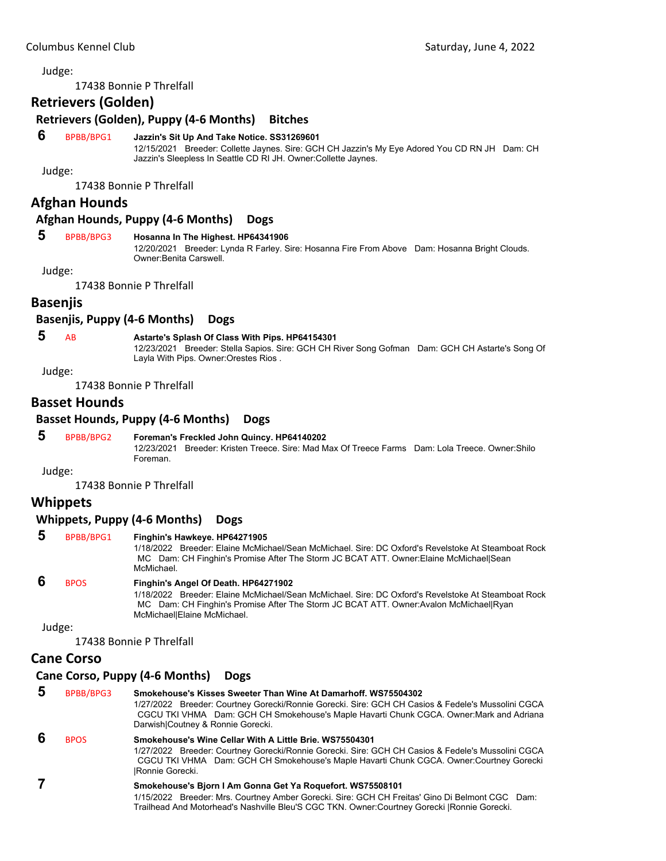Judge:

17438 Bonnie P Threlfall

## **Retrievers (Golden)**

**Retrievers (Golden), Puppy (4‐6 Months) Bitches**

#### **6** BPBB/BPG1 **Jazzin's Sit Up And Take Notice. SS31269601**

12/15/2021 Breeder: Collette Jaynes. Sire: GCH CH Jazzin's My Eye Adored You CD RN JH Dam: CH Jazzin's Sleepless In Seattle CD RI JH. Owner:Collette Jaynes.

Judge:

17438 Bonnie P Threlfall

## **Afghan Hounds**

#### **Afghan Hounds, Puppy (4‐6 Months) Dogs**

#### **5** BPBB/BPG3 **Hosanna In The Highest. HP64341906**

12/20/2021 Breeder: Lynda R Farley. Sire: Hosanna Fire From Above Dam: Hosanna Bright Clouds. Owner:Benita Carswell.

Judge:

17438 Bonnie P Threlfall

#### **Basenjis**

#### **Basenjis, Puppy (4‐6 Months) Dogs**

## **5** AB **Astarte's Splash Of Class With Pips. HP64154301**

12/23/2021 Breeder: Stella Sapios. Sire: GCH CH River Song Gofman Dam: GCH CH Astarte's Song Of Layla With Pips. Owner:Orestes Rios .

Judge:

17438 Bonnie P Threlfall

## **Basset Hounds**

#### **Basset Hounds, Puppy (4‐6 Months) Dogs**

#### **5** BPBB/BPG2 **Foreman's Freckled John Quincy. HP64140202**

12/23/2021 Breeder: Kristen Treece. Sire: Mad Max Of Treece Farms Dam: Lola Treece. Owner:Shilo Foreman.

Judge:

17438 Bonnie P Threlfall

## **Whippets**

#### **Whippets, Puppy (4‐6 Months) Dogs**

#### **5** BPBB/BPG1 **Finghin's Hawkeye. HP64271905**

1/18/2022 Breeder: Elaine McMichael/Sean McMichael. Sire: DC Oxford's Revelstoke At Steamboat Rock MC Dam: CH Finghin's Promise After The Storm JC BCAT ATT. Owner:Elaine McMichael|Sean McMichael.

#### **6** BPOS **Finghin's Angel Of Death. HP64271902**

1/18/2022 Breeder: Elaine McMichael/Sean McMichael. Sire: DC Oxford's Revelstoke At Steamboat Rock MC Dam: CH Finghin's Promise After The Storm JC BCAT ATT. Owner:Avalon McMichael|Ryan McMichael|Elaine McMichael.

Judge:

17438 Bonnie P Threlfall

## **Cane Corso**

## **Cane Corso, Puppy (4‐6 Months) Dogs**

# **5** BPBB/BPG3 **Smokehouse's Kisses Sweeter Than Wine At Damarhoff. WS75504302**

1/27/2022 Breeder: Courtney Gorecki/Ronnie Gorecki. Sire: GCH CH Casios & Fedele's Mussolini CGCA CGCU TKI VHMA Dam: GCH CH Smokehouse's Maple Havarti Chunk CGCA. Owner:Mark and Adriana Darwish|Coutney & Ronnie Gorecki.

## **6** BPOS **Smokehouse's Wine Cellar With A Little Brie. WS75504301**

1/27/2022 Breeder: Courtney Gorecki/Ronnie Gorecki. Sire: GCH CH Casios & Fedele's Mussolini CGCA CGCU TKI VHMA Dam: GCH CH Smokehouse's Maple Havarti Chunk CGCA. Owner:Courtney Gorecki |Ronnie Gorecki.

# **7 Smokehouse's Bjorn I Am Gonna Get Ya Roquefort. WS75508101**

1/15/2022 Breeder: Mrs. Courtney Amber Gorecki. Sire: GCH CH Freitas' Gino Di Belmont CGC Dam: Trailhead And Motorhead's Nashville Bleu'S CGC TKN. Owner:Courtney Gorecki |Ronnie Gorecki.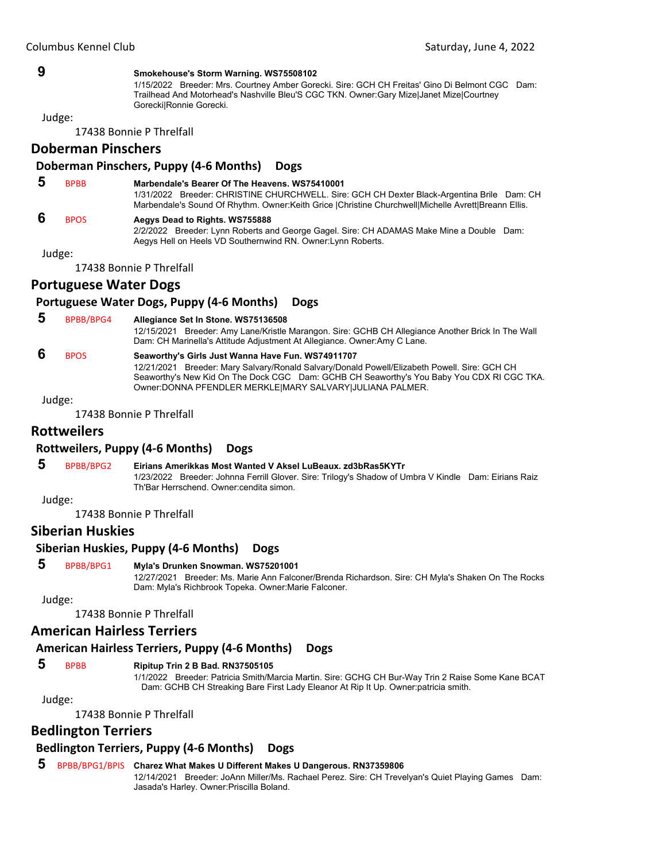#### **9 Smokehouse's Storm Warning. WS75508102**

1/15/2022 Breeder: Mrs. Courtney Amber Gorecki. Sire: GCH CH Freitas' Gino Di Belmont CGC Dam: Trailhead And Motorhead's Nashville Bleu'S CGC TKN. Owner:Gary Mize|Janet Mize|Courtney Gorecki|Ronnie Gorecki.

Judge:

17438 Bonnie P Threlfall

## **Doberman Pinschers**

#### **Doberman Pinschers, Puppy (4‐6 Months) Dogs**

## **5** BPBB **Marbendale's Bearer Of The Heavens. WS75410001**

1/31/2022 Breeder: CHRISTINE CHURCHWELL. Sire: GCH CH Dexter Black-Argentina Brile Dam: CH Marbendale's Sound Of Rhythm. Owner:Keith Grice |Christine Churchwell|Michelle Avrett|Breann Ellis.

#### **6** BPOS **Aegys Dead to Rights. WS755888**

2/2/2022 Breeder: Lynn Roberts and George Gagel. Sire: CH ADAMAS Make Mine a Double Dam: Aegys Hell on Heels VD Southernwind RN. Owner:Lynn Roberts.

Judge:

17438 Bonnie P Threlfall

## **Portuguese Water Dogs**

## **Portuguese Water Dogs, Puppy (4‐6 Months) Dogs**

#### **5** BPBB/BPG4 **Allegiance Set In Stone. WS75136508**

12/15/2021 Breeder: Amy Lane/Kristle Marangon. Sire: GCHB CH Allegiance Another Brick In The Wall Dam: CH Marinella's Attitude Adjustment At Allegiance. Owner:Amy C Lane.

## **6** BPOS **Seaworthy's Girls Just Wanna Have Fun. WS74911707**

12/21/2021 Breeder: Mary Salvary/Ronald Salvary/Donald Powell/Elizabeth Powell. Sire: GCH CH Seaworthy's New Kid On The Dock CGC Dam: GCHB CH Seaworthy's You Baby You CDX RI CGC TKA. Owner:DONNA PFENDLER MERKLE|MARY SALVARY|JULIANA PALMER.

Judge:

17438 Bonnie P Threlfall

## **Rottweilers**

#### **Rottweilers, Puppy (4‐6 Months) Dogs**

## **5** BPBB/BPG2 **Eirians Amerikkas Most Wanted V Aksel LuBeaux. zd3bRas5KYTr**

1/23/2022 Breeder: Johnna Ferrill Glover. Sire: Trilogy's Shadow of Umbra V Kindle Dam: Eirians Raiz Th'Bar Herrschend. Owner:cendita simon.

Judge:

17438 Bonnie P Threlfall

## **Siberian Huskies**

## **Siberian Huskies, Puppy (4‐6 Months) Dogs**

## **5** BPBB/BPG1 **Myla's Drunken Snowman. WS75201001**

12/27/2021 Breeder: Ms. Marie Ann Falconer/Brenda Richardson. Sire: CH Myla's Shaken On The Rocks Dam: Myla's Richbrook Topeka. Owner:Marie Falconer.

Judge:

17438 Bonnie P Threlfall

## **American Hairless Terriers**

## **American Hairless Terriers, Puppy (4‐6 Months) Dogs**

## **5** BPBB **Ripitup Trin 2 B Bad. RN37505105**

1/1/2022 Breeder: Patricia Smith/Marcia Martin. Sire: GCHG CH Bur-Way Trin 2 Raise Some Kane BCAT Dam: GCHB CH Streaking Bare First Lady Eleanor At Rip It Up. Owner:patricia smith.

Judge:

17438 Bonnie P Threlfall

## **Bedlington Terriers**

# **Bedlington Terriers, Puppy (4‐6 Months) Dogs**

## **5** BPBB/BPG1/BPIS **Charez What Makes U Different Makes U Dangerous. RN37359806**

12/14/2021 Breeder: JoAnn Miller/Ms. Rachael Perez. Sire: CH Trevelyan's Quiet Playing Games Dam: Jasada's Harley. Owner:Priscilla Boland.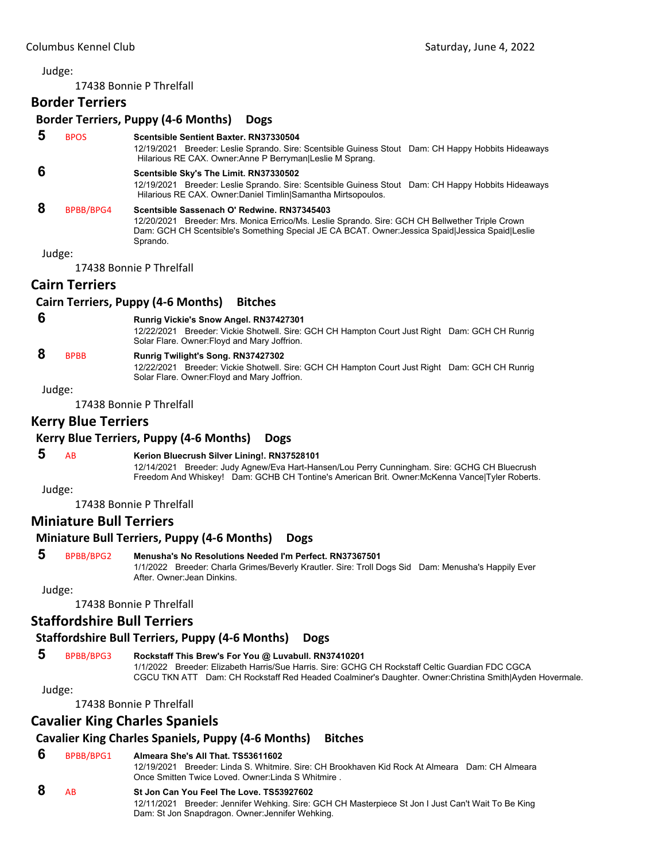#### Judge:

17438 Bonnie P Threlfall

## **Border Terriers**

## **Border Terriers, Puppy (4‐6 Months) Dogs**

 **5** BPOS **Scentsible Sentient Baxter. RN37330504**

12/19/2021 Breeder: Leslie Sprando. Sire: Scentsible Guiness Stout Dam: CH Happy Hobbits Hideaways Hilarious RE CAX. Owner:Anne P Berryman|Leslie M Sprang.

## **6 Scentsible Sky's The Limit. RN37330502**

12/19/2021 Breeder: Leslie Sprando. Sire: Scentsible Guiness Stout Dam: CH Happy Hobbits Hideaways Hilarious RE CAX. Owner:Daniel Timlin|Samantha Mirtsopoulos.

#### **8** BPBB/BPG4 **Scentsible Sassenach O' Redwine. RN37345403**

12/20/2021 Breeder: Mrs. Monica Errico/Ms. Leslie Sprando. Sire: GCH CH Bellwether Triple Crown Dam: GCH CH Scentsible's Something Special JE CA BCAT. Owner:Jessica Spaid|Jessica Spaid|Leslie Sprando.

Judge:

17438 Bonnie P Threlfall

#### **Cairn Terriers**

#### **Cairn Terriers, Puppy (4‐6 Months) Bitches**

## **6 Runrig Vickie's Snow Angel. RN37427301**

12/22/2021 Breeder: Vickie Shotwell. Sire: GCH CH Hampton Court Just Right Dam: GCH CH Runrig Solar Flare. Owner:Floyd and Mary Joffrion.

# **8** BPBB **Runrig Twilight's Song. RN37427302**

12/22/2021 Breeder: Vickie Shotwell. Sire: GCH CH Hampton Court Just Right Dam: GCH CH Runrig Solar Flare. Owner:Floyd and Mary Joffrion.

#### Judge:

17438 Bonnie P Threlfall

## **Kerry Blue Terriers**

## **Kerry Blue Terriers, Puppy (4‐6 Months) Dogs**

#### **5** AB **Kerion Bluecrush Silver Lining!. RN37528101**

12/14/2021 Breeder: Judy Agnew/Eva Hart-Hansen/Lou Perry Cunningham. Sire: GCHG CH Bluecrush Freedom And Whiskey! Dam: GCHB CH Tontine's American Brit. Owner:McKenna Vance|Tyler Roberts.

Judge:

17438 Bonnie P Threlfall

## **Miniature Bull Terriers**

#### **Miniature Bull Terriers, Puppy (4‐6 Months) Dogs**

#### **5** BPBB/BPG2 **Menusha's No Resolutions Needed I'm Perfect. RN37367501**

1/1/2022 Breeder: Charla Grimes/Beverly Krautler. Sire: Troll Dogs Sid Dam: Menusha's Happily Ever After. Owner:Jean Dinkins.

Judge:

17438 Bonnie P Threlfall

## **Staffordshire Bull Terriers**

## **Staffordshire Bull Terriers, Puppy (4‐6 Months) Dogs**

## **5** BPBB/BPG3 **Rockstaff This Brew's For You @ Luvabull. RN37410201**

1/1/2022 Breeder: Elizabeth Harris/Sue Harris. Sire: GCHG CH Rockstaff Celtic Guardian FDC CGCA CGCU TKN ATT Dam: CH Rockstaff Red Headed Coalminer's Daughter. Owner:Christina Smith|Ayden Hovermale.

#### Judge:

17438 Bonnie P Threlfall

## **Cavalier King Charles Spaniels**

## **Cavalier King Charles Spaniels, Puppy (4‐6 Months) Bitches**

#### **6** BPBB/BPG1 **Almeara She's All That. TS53611602**

12/19/2021 Breeder: Linda S. Whitmire. Sire: CH Brookhaven Kid Rock At Almeara Dam: CH Almeara Once Smitten Twice Loved. Owner:Linda S Whitmire .

#### **8** AB **St Jon Can You Feel The Love. TS53927602**

12/11/2021 Breeder: Jennifer Wehking. Sire: GCH CH Masterpiece St Jon I Just Can't Wait To Be King Dam: St Jon Snapdragon. Owner:Jennifer Wehking.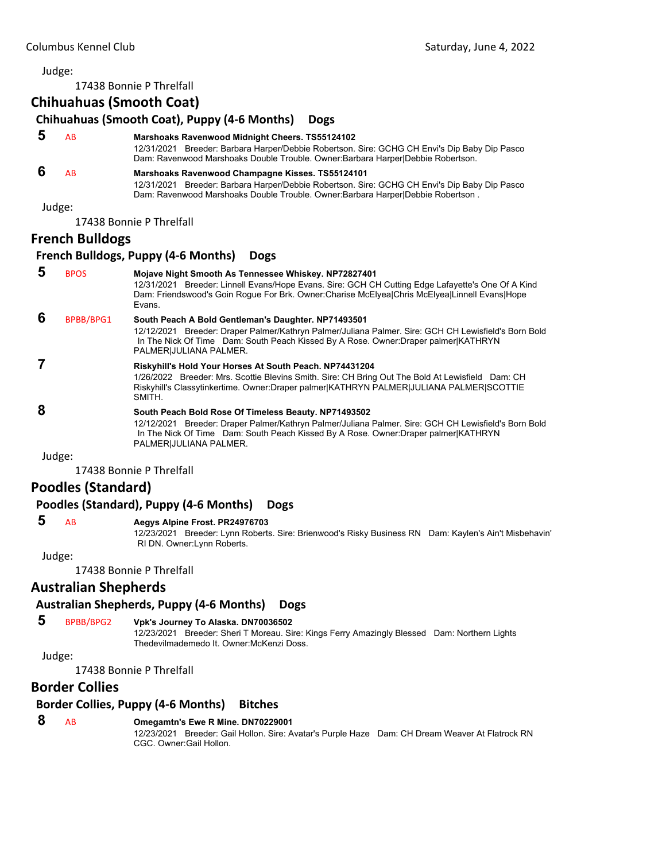17438 Bonnie P Threlfall

#### **Chihuahuas (Smooth Coat), Puppy (4‐6 Months) Dogs 5** AB **Marshoaks Ravenwood Midnight Cheers. TS55124102** 12/31/2021 Breeder: Barbara Harper/Debbie Robertson. Sire: GCHG CH Envi's Dip Baby Dip Pasco Dam: Ravenwood Marshoaks Double Trouble. Owner:Barbara Harper|Debbie Robertson.  **6** AB **Marshoaks Ravenwood Champagne Kisses. TS55124101** 12/31/2021 Breeder: Barbara Harper/Debbie Robertson. Sire: GCHG CH Envi's Dip Baby Dip Pasco Dam: Ravenwood Marshoaks Double Trouble. Owner:Barbara Harper|Debbie Robertson . Judge: 17438 Bonnie P Threlfall **French Bulldogs French Bulldogs, Puppy (4‐6 Months) Dogs 5** BPOS **Mojave Night Smooth As Tennessee Whiskey. NP72827401** 12/31/2021 Breeder: Linnell Evans/Hope Evans. Sire: GCH CH Cutting Edge Lafayette's One Of A Kind Dam: Friendswood's Goin Rogue For Brk. Owner:Charise McElyea|Chris McElyea|Linnell Evans|Hope Evans.  **6** BPBB/BPG1 **South Peach A Bold Gentleman's Daughter. NP71493501** 12/12/2021 Breeder: Draper Palmer/Kathryn Palmer/Juliana Palmer. Sire: GCH CH Lewisfield's Born Bold In The Nick Of Time Dam: South Peach Kissed By A Rose. Owner:Draper palmer|KATHRYN PALMER|JULIANA PALMER.  **7 Riskyhill's Hold Your Horses At South Peach. NP74431204** 1/26/2022 Breeder: Mrs. Scottie Blevins Smith. Sire: CH Bring Out The Bold At Lewisfield Dam: CH Riskyhill's Classytinkertime. Owner:Draper palmer|KATHRYN PALMER|JULIANA PALMER|SCOTTIE SMITH.  **8 South Peach Bold Rose Of Timeless Beauty. NP71493502** 12/12/2021 Breeder: Draper Palmer/Kathryn Palmer/Juliana Palmer. Sire: GCH CH Lewisfield's Born Bold In The Nick Of Time Dam: South Peach Kissed By A Rose. Owner:Draper palmer|KATHRYN PALMER|JULIANA PALMER. Judge: 17438 Bonnie P Threlfall

## **Poodles (Standard)**

## **Poodles (Standard), Puppy (4‐6 Months) Dogs**

#### **5** AB **Aegys Alpine Frost. PR24976703**

12/23/2021 Breeder: Lynn Roberts. Sire: Brienwood's Risky Business RN Dam: Kaylen's Ain't Misbehavin' RI DN. Owner:Lynn Roberts.

#### Judge:

17438 Bonnie P Threlfall

## **Australian Shepherds**

## **Australian Shepherds, Puppy (4‐6 Months) Dogs**

 **5** BPBB/BPG2 **Vpk's Journey To Alaska. DN70036502**

12/23/2021 Breeder: Sheri T Moreau. Sire: Kings Ferry Amazingly Blessed Dam: Northern Lights Thedevilmademedo It. Owner:McKenzi Doss.

#### Judge:

17438 Bonnie P Threlfall

# **Border Collies**

## **Border Collies, Puppy (4‐6 Months) Bitches**

## **8** AB **Omegamtn's Ewe R Mine. DN70229001**

12/23/2021 Breeder: Gail Hollon. Sire: Avatar's Purple Haze Dam: CH Dream Weaver At Flatrock RN CGC. Owner:Gail Hollon.